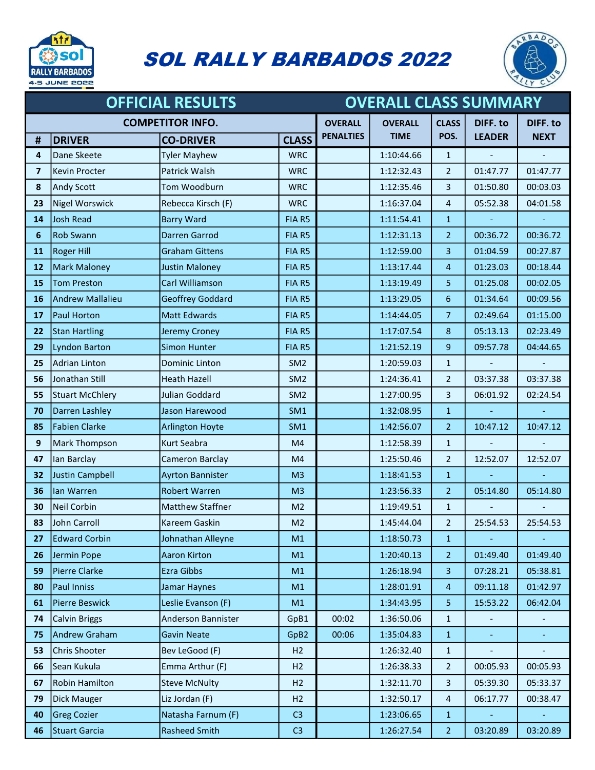

## SOL RALLY BARBADOS 2022



| <b>OFFICIAL RESULTS</b> |                         |                         |                  | <b>OVERALL CLASS SUMMARY</b> |                |                |               |                |
|-------------------------|-------------------------|-------------------------|------------------|------------------------------|----------------|----------------|---------------|----------------|
|                         | <b>COMPETITOR INFO.</b> |                         |                  | <b>OVERALL</b>               | <b>OVERALL</b> | <b>CLASS</b>   | DIFF. to      | DIFF. to       |
| #                       | <b>DRIVER</b>           | <b>CO-DRIVER</b>        | <b>CLASS</b>     | <b>PENALTIES</b>             | <b>TIME</b>    | POS.           | <b>LEADER</b> | <b>NEXT</b>    |
| 4                       | Dane Skeete             | <b>Tyler Mayhew</b>     | <b>WRC</b>       |                              | 1:10:44.66     | $\mathbf{1}$   |               |                |
| $\overline{\mathbf{z}}$ | Kevin Procter           | Patrick Walsh           | <b>WRC</b>       |                              | 1:12:32.43     | $\overline{2}$ | 01:47.77      | 01:47.77       |
| ${\bf 8}$               | Andy Scott              | Tom Woodburn            | <b>WRC</b>       |                              | 1:12:35.46     | 3              | 01:50.80      | 00:03.03       |
| 23                      | Nigel Worswick          | Rebecca Kirsch (F)      | <b>WRC</b>       |                              | 1:16:37.04     | 4              | 05:52.38      | 04:01.58       |
| 14                      | Josh Read               | <b>Barry Ward</b>       | FIA R5           |                              | 1:11:54.41     | $\mathbf{1}$   |               |                |
| 6                       | <b>Rob Swann</b>        | Darren Garrod           | FIA R5           |                              | 1:12:31.13     | 2 <sup>2</sup> | 00:36.72      | 00:36.72       |
| 11                      | <b>Roger Hill</b>       | <b>Graham Gittens</b>   | FIA R5           |                              | 1:12:59.00     | 3              | 01:04.59      | 00:27.87       |
| 12                      | <b>Mark Maloney</b>     | <b>Justin Maloney</b>   | FIA R5           |                              | 1:13:17.44     | 4              | 01:23.03      | 00:18.44       |
| 15                      | <b>Tom Preston</b>      | Carl Williamson         | FIA R5           |                              | 1:13:19.49     | 5              | 01:25.08      | 00:02.05       |
| 16                      | Andrew Mallalieu        | <b>Geoffrey Goddard</b> | FIA R5           |                              | 1:13:29.05     | 6              | 01:34.64      | 00:09.56       |
| 17                      | Paul Horton             | <b>Matt Edwards</b>     | FIA R5           |                              | 1:14:44.05     | 7 <sup>1</sup> | 02:49.64      | 01:15.00       |
| 22                      | <b>Stan Hartling</b>    | Jeremy Croney           | FIA R5           |                              | 1:17:07.54     | 8              | 05:13.13      | 02:23.49       |
| 29                      | Lyndon Barton           | Simon Hunter            | FIA R5           |                              | 1:21:52.19     | 9              | 09:57.78      | 04:44.65       |
| 25                      | Adrian Linton           | <b>Dominic Linton</b>   | SM <sub>2</sub>  |                              | 1:20:59.03     | $\mathbf{1}$   |               |                |
| 56                      | Jonathan Still          | <b>Heath Hazell</b>     | SM <sub>2</sub>  |                              | 1:24:36.41     | $\overline{2}$ | 03:37.38      | 03:37.38       |
| 55                      | Stuart McChlery         | Julian Goddard          | SM <sub>2</sub>  |                              | 1:27:00.95     | 3              | 06:01.92      | 02:24.54       |
| 70                      | Darren Lashley          | Jason Harewood          | SM1              |                              | 1:32:08.95     | $\mathbf{1}$   |               |                |
| 85                      | <b>Fabien Clarke</b>    | <b>Arlington Hoyte</b>  | SM1              |                              | 1:42:56.07     | $\overline{2}$ | 10:47.12      | 10:47.12       |
| 9                       | Mark Thompson           | Kurt Seabra             | M4               |                              | 1:12:58.39     | $\mathbf{1}$   |               | $\blacksquare$ |
| 47                      | lan Barclay             | Cameron Barclay         | M4               |                              | 1:25:50.46     | $\overline{2}$ | 12:52.07      | 12:52.07       |
| 32                      | Justin Campbell         | <b>Ayrton Bannister</b> | M <sub>3</sub>   |                              | 1:18:41.53     | $\mathbf{1}$   |               |                |
| 36                      | lan Warren              | <b>Robert Warren</b>    | M <sub>3</sub>   |                              | 1:23:56.33     | $\overline{2}$ | 05:14.80      | 05:14.80       |
| 30                      | Neil Corbin             | <b>Matthew Staffner</b> | M <sub>2</sub>   |                              | 1:19:49.51     | $\mathbf{1}$   |               |                |
| 83                      | John Carroll            | Kareem Gaskin           | M <sub>2</sub>   |                              | 1:45:44.04     | $\overline{2}$ | 25:54.53      | 25:54.53       |
| 27                      | <b>Edward Corbin</b>    | Johnathan Alleyne       | M1               |                              | 1:18:50.73     | $\mathbf{1}$   |               |                |
| 26                      | Jermin Pope             | Aaron Kirton            | M1               |                              | 1:20:40.13     | $\overline{2}$ | 01:49.40      | 01:49.40       |
| 59                      | Pierre Clarke           | Ezra Gibbs              | M1               |                              | 1:26:18.94     | 3              | 07:28.21      | 05:38.81       |
| 80                      | Paul Inniss             | Jamar Haynes            | M1               |                              | 1:28:01.91     | 4              | 09:11.18      | 01:42.97       |
| 61                      | Pierre Beswick          | Leslie Evanson (F)      | M1               |                              | 1:34:43.95     | 5              | 15:53.22      | 06:42.04       |
| 74                      | Calvin Briggs           | Anderson Bannister      | GpB1             | 00:02                        | 1:36:50.06     | $\mathbf{1}$   |               |                |
| 75                      | Andrew Graham           | <b>Gavin Neate</b>      | GpB <sub>2</sub> | 00:06                        | 1:35:04.83     | $\mathbf{1}$   |               |                |
| 53                      | Chris Shooter           | Bev LeGood (F)          | H <sub>2</sub>   |                              | 1:26:32.40     | $\mathbf{1}$   |               |                |
| 66                      | Sean Kukula             | Emma Arthur (F)         | H2               |                              | 1:26:38.33     | $\overline{2}$ | 00:05.93      | 00:05.93       |
| 67                      | Robin Hamilton          | <b>Steve McNulty</b>    | H2               |                              | 1:32:11.70     | 3              | 05:39.30      | 05:33.37       |
| 79                      | Dick Mauger             | Liz Jordan (F)          | H2               |                              | 1:32:50.17     | 4              | 06:17.77      | 00:38.47       |
| 40                      | <b>Greg Cozier</b>      | Natasha Farnum (F)      | C <sub>3</sub>   |                              | 1:23:06.65     | $\mathbf{1}$   |               |                |
| 46                      | Stuart Garcia           | <b>Rasheed Smith</b>    | C <sub>3</sub>   |                              | 1:26:27.54     | $\overline{2}$ | 03:20.89      | 03:20.89       |